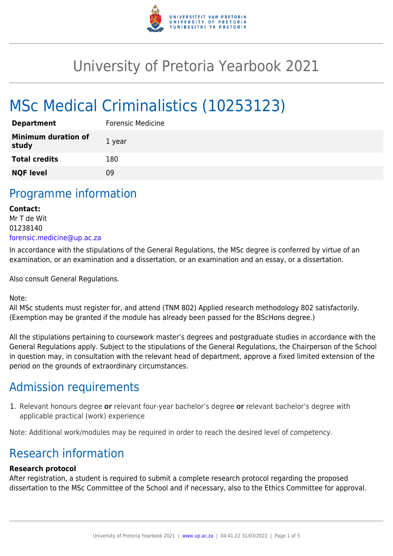

## University of Pretoria Yearbook 2021

# MSc Medical Criminalistics (10253123)

| <b>Department</b>                   | <b>Forensic Medicine</b> |
|-------------------------------------|--------------------------|
| <b>Minimum duration of</b><br>study | 1 year                   |
| <b>Total credits</b>                | 180                      |
| <b>NQF level</b>                    | ΩÓ                       |

### Programme information

#### **Contact:**  Mr T de Wit 01238140 [forensic.medicine@up.ac.za](mailto:forensic.medicine@up.ac.za)

In accordance with the stipulations of the General Regulations, the MSc degree is conferred by virtue of an examination, or an examination and a dissertation, or an examination and an essay, or a dissertation.

Also consult General Regulations.

Note:

All MSc students must register for, and attend (TNM 802) Applied research methodology 802 satisfactorily. (Exemption may be granted if the module has already been passed for the BScHons degree.)

All the stipulations pertaining to coursework master's degrees and postgraduate studies in accordance with the General Regulations apply. Subject to the stipulations of the General Regulations, the Chairperson of the School in question may, in consultation with the relevant head of department, approve a fixed limited extension of the period on the grounds of extraordinary circumstances.

### Admission requirements

1. Relevant honours degree **or** relevant four-year bachelor's degree **or** relevant bachelor's degree with applicable practical (work) experience

Note: Additional work/modules may be required in order to reach the desired level of competency.

## Research information

#### **Research protocol**

After registration, a student is required to submit a complete research protocol regarding the proposed dissertation to the MSc Committee of the School and if necessary, also to the Ethics Committee for approval.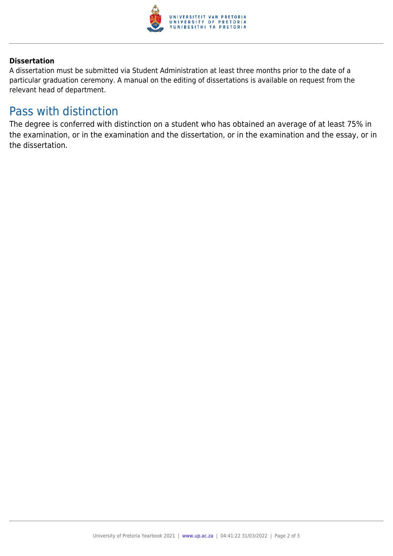

#### **Dissertation**

A dissertation must be submitted via Student Administration at least three months prior to the date of a particular graduation ceremony. A manual on the editing of dissertations is available on request from the relevant head of department.

### Pass with distinction

The degree is conferred with distinction on a student who has obtained an average of at least 75% in the examination, or in the examination and the dissertation, or in the examination and the essay, or in the dissertation.